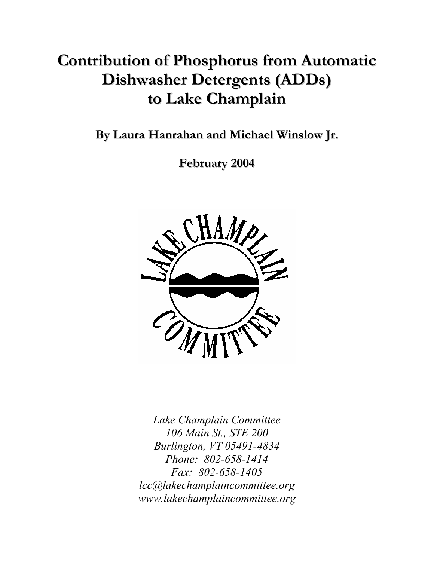# **Contribution of Phosphorus from Automatic Dishwasher Detergents (ADDs) to Lake Champlain**

**By Laura Hanrahan and Michael Winslow Jr.**

**February 2004**



*Lake Champlain Committee 106 Main St., STE 200 Burlington, VT 05491-4834 Phone: 802-658-1414 Fax: 802-658-1405 lcc@lakechamplaincommittee.org www.lakechamplaincommittee.org*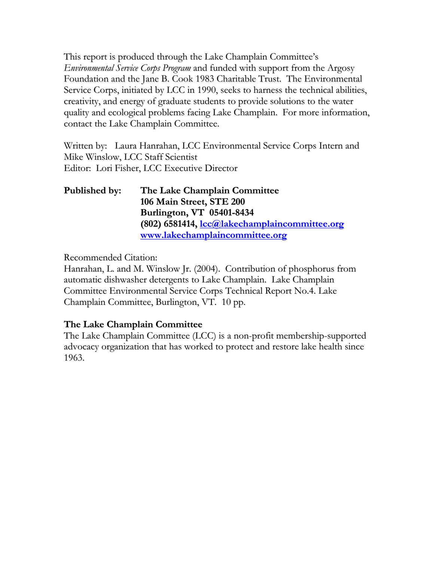This report is produced through the Lake Champlain Committee's *Environmental Service Corps Program* and funded with support from the Argosy Foundation and the Jane B. Cook 1983 Charitable Trust. The Environmental Service Corps, initiated by LCC in 1990, seeks to harness the technical abilities, creativity, and energy of graduate students to provide solutions to the water quality and ecological problems facing Lake Champlain. For more information, contact the Lake Champlain Committee.

Written by: Laura Hanrahan, LCC Environmental Service Corps Intern and Mike Winslow, LCC Staff Scientist Editor: Lori Fisher, LCC Executive Director

| Published by: | The Lake Champlain Committee                         |
|---------------|------------------------------------------------------|
|               | 106 Main Street, STE 200                             |
|               | Burlington, VT 05401-8434                            |
|               | (802) 6581414, <i>lcc@lakechamplaincommittee.org</i> |
|               | www.lakechamplaincommittee.org                       |

Recommended Citation:

Hanrahan, L. and M. Winslow Jr. (2004). Contribution of phosphorus from automatic dishwasher detergents to Lake Champlain. Lake Champlain Committee Environmental Service Corps Technical Report No.4. Lake Champlain Committee, Burlington, VT. 10 pp.

### **The Lake Champlain Committee**

The Lake Champlain Committee (LCC) is a non-profit membership-supported advocacy organization that has worked to protect and restore lake health since 1963.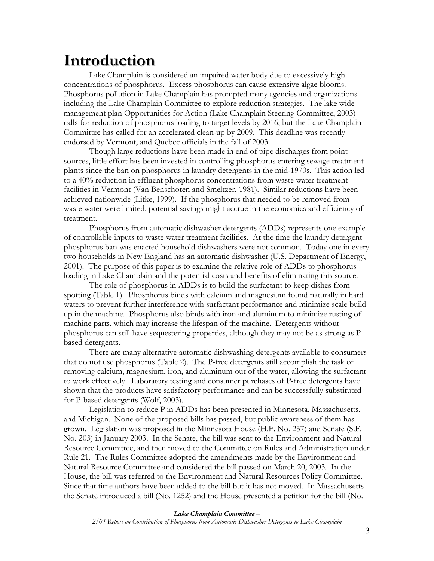### **Introduction**

Lake Champlain is considered an impaired water body due to excessively high concentrations of phosphorus. Excess phosphorus can cause extensive algae blooms. Phosphorus pollution in Lake Champlain has prompted many agencies and organizations including the Lake Champlain Committee to explore reduction strategies. The lake wide management plan Opportunities for Action (Lake Champlain Steering Committee, 2003) calls for reduction of phosphorus loading to target levels by 2016, but the Lake Champlain Committee has called for an accelerated clean-up by 2009. This deadline was recently endorsed by Vermont, and Quebec officials in the fall of 2003.

Though large reductions have been made in end of pipe discharges from point sources, little effort has been invested in controlling phosphorus entering sewage treatment plants since the ban on phosphorus in laundry detergents in the mid-1970s. This action led to a 40% reduction in effluent phosphorus concentrations from waste water treatment facilities in Vermont (Van Benschoten and Smeltzer, 1981). Similar reductions have been achieved nationwide (Litke, 1999). If the phosphorus that needed to be removed from waste water were limited, potential savings might accrue in the economics and efficiency of treatment.

Phosphorus from automatic dishwasher detergents (ADDs) represents one example of controllable inputs to waste water treatment facilities. At the time the laundry detergent phosphorus ban was enacted household dishwashers were not common. Today one in every two households in New England has an automatic dishwasher (U.S. Department of Energy, 2001). The purpose of this paper is to examine the relative role of ADDs to phosphorus loading in Lake Champlain and the potential costs and benefits of eliminating this source.

The role of phosphorus in ADDs is to build the surfactant to keep dishes from spotting (Table 1). Phosphorus binds with calcium and magnesium found naturally in hard waters to prevent further interference with surfactant performance and minimize scale build up in the machine. Phosphorus also binds with iron and aluminum to minimize rusting of machine parts, which may increase the lifespan of the machine. Detergents without phosphorus can still have sequestering properties, although they may not be as strong as Pbased detergents.

There are many alternative automatic dishwashing detergents available to consumers that do not use phosphorus (Table 2). The P-free detergents still accomplish the task of removing calcium, magnesium, iron, and aluminum out of the water, allowing the surfactant to work effectively. Laboratory testing and consumer purchases of P-free detergents have shown that the products have satisfactory performance and can be successfully substituted for P-based detergents (Wolf, 2003).

Legislation to reduce P in ADDs has been presented in Minnesota, Massachusetts, and Michigan. None of the proposed bills has passed, but public awareness of them has grown. Legislation was proposed in the Minnesota House (H.F. No. 257) and Senate (S.F. No. 203) in January 2003. In the Senate, the bill was sent to the Environment and Natural Resource Committee, and then moved to the Committee on Rules and Administration under Rule 21. The Rules Committee adopted the amendments made by the Environment and Natural Resource Committee and considered the bill passed on March 20, 2003. In the House, the bill was referred to the Environment and Natural Resources Policy Committee. Since that time authors have been added to the bill but it has not moved. In Massachusetts the Senate introduced a bill (No. 1252) and the House presented a petition for the bill (No.

#### *Lake Champlain Committee –*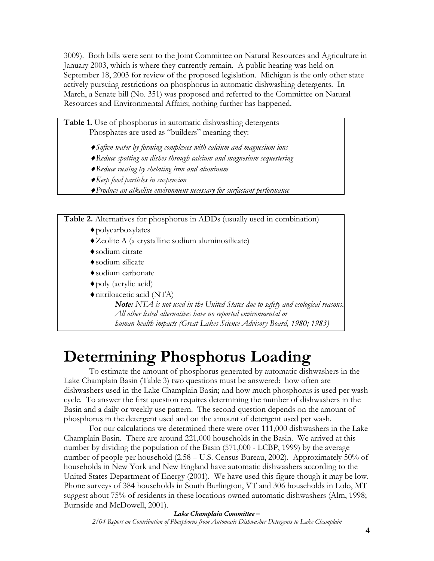3009). Both bills were sent to the Joint Committee on Natural Resources and Agriculture in January 2003, which is where they currently remain. A public hearing was held on September 18, 2003 for review of the proposed legislation. Michigan is the only other state actively pursuing restrictions on phosphorus in automatic dishwashing detergents. In March, a Senate bill (No. 351) was proposed and referred to the Committee on Natural Resources and Environmental Affairs; nothing further has happened.

#### **Table 1.** Use of phosphorus in automatic dishwashing detergents Phosphates are used as "builders" meaning they:

- ♦*Soften water by forming complexes with calcium and magnesium ions*
- ♦*Reduce spotting on dishes through calcium and magnesium sequestering*
- ♦*Reduce rusting by chelating iron and aluminum*
- ♦*Keep food particles in suspension*
- ♦*Produce an alkaline environment necessary for surfactant performance*

**Table 2.** Alternatives for phosphorus in ADDs (usually used in combination)

- ♦polycarboxylates
- ♦Zeolite A (a crystalline sodium aluminosilicate)
- ♦sodium citrate
- ♦sodium silicate
- ♦sodium carbonate
- ♦poly (acrylic acid)
- ♦nitriloacetic acid (NTA)

*Note: NTA is not used in the United States due to safety and ecological reasons. All other listed alternatives have no reported environmental or human health impacts (Great Lakes Science Advisory Board, 1980; 1983)*

## **Determining Phosphorus Loading**

To estimate the amount of phosphorus generated by automatic dishwashers in the Lake Champlain Basin (Table 3) two questions must be answered: how often are dishwashers used in the Lake Champlain Basin; and how much phosphorus is used per wash cycle. To answer the first question requires determining the number of dishwashers in the Basin and a daily or weekly use pattern. The second question depends on the amount of phosphorus in the detergent used and on the amount of detergent used per wash.

For our calculations we determined there were over 111,000 dishwashers in the Lake Champlain Basin. There are around 221,000 households in the Basin. We arrived at this number by dividing the population of the Basin (571,000 - LCBP, 1999) by the average number of people per household (2.58 – U.S. Census Bureau, 2002). Approximately 50% of households in New York and New England have automatic dishwashers according to the United States Department of Energy (2001). We have used this figure though it may be low. Phone surveys of 384 households in South Burlington, VT and 306 households in Lolo, MT suggest about 75% of residents in these locations owned automatic dishwashers (Alm, 1998; Burnside and McDowell, 2001).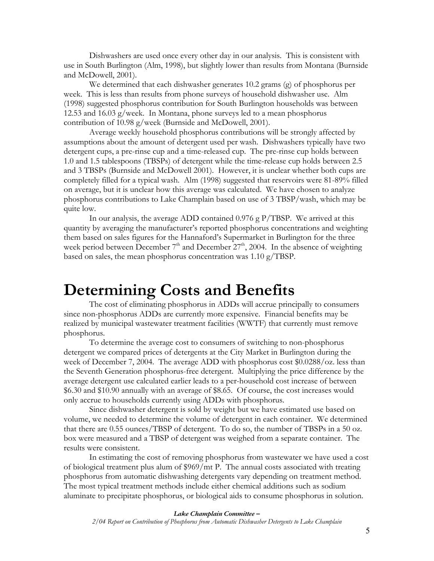Dishwashers are used once every other day in our analysis. This is consistent with use in South Burlington (Alm, 1998), but slightly lower than results from Montana (Burnside and McDowell, 2001).

We determined that each dishwasher generates 10.2 grams (g) of phosphorus per week. This is less than results from phone surveys of household dishwasher use. Alm (1998) suggested phosphorus contribution for South Burlington households was between 12.53 and 16.03 g/week. In Montana, phone surveys led to a mean phosphorus contribution of 10.98 g/week (Burnside and McDowell, 2001).

Average weekly household phosphorus contributions will be strongly affected by assumptions about the amount of detergent used per wash. Dishwashers typically have two detergent cups, a pre-rinse cup and a time-released cup. The pre-rinse cup holds between 1.0 and 1.5 tablespoons (TBSPs) of detergent while the time-release cup holds between 2.5 and 3 TBSPs (Burnside and McDowell 2001). However, it is unclear whether both cups are completely filled for a typical wash. Alm (1998) suggested that reservoirs were 81-89% filled on average, but it is unclear how this average was calculated. We have chosen to analyze phosphorus contributions to Lake Champlain based on use of 3 TBSP/wash, which may be quite low.

In our analysis, the average ADD contained 0.976 g P/TBSP. We arrived at this quantity by averaging the manufacturer's reported phosphorus concentrations and weighting them based on sales figures for the Hannaford's Supermarket in Burlington for the three week period between December  $7<sup>th</sup>$  and December  $27<sup>th</sup>$ , 2004. In the absence of weighting based on sales, the mean phosphorus concentration was 1.10 g/TBSP.

### **Determining Costs and Benefits**

The cost of eliminating phosphorus in ADDs will accrue principally to consumers since non-phosphorus ADDs are currently more expensive. Financial benefits may be realized by municipal wastewater treatment facilities (WWTF) that currently must remove phosphorus.

To determine the average cost to consumers of switching to non-phosphorus detergent we compared prices of detergents at the City Market in Burlington during the week of December 7, 2004. The average ADD with phosphorus cost \$0.0288/oz. less than the Seventh Generation phosphorus-free detergent. Multiplying the price difference by the average detergent use calculated earlier leads to a per-household cost increase of between \$6.30 and \$10.90 annually with an average of \$8.65. Of course, the cost increases would only accrue to households currently using ADDs with phosphorus.

Since dishwasher detergent is sold by weight but we have estimated use based on volume, we needed to determine the volume of detergent in each container. We determined that there are 0.55 ounces/TBSP of detergent. To do so, the number of TBSPs in a 50 oz. box were measured and a TBSP of detergent was weighed from a separate container. The results were consistent.

In estimating the cost of removing phosphorus from wastewater we have used a cost of biological treatment plus alum of \$969/mt P. The annual costs associated with treating phosphorus from automatic dishwashing detergents vary depending on treatment method. The most typical treatment methods include either chemical additions such as sodium aluminate to precipitate phosphorus, or biological aids to consume phosphorus in solution.

#### *Lake Champlain Committee –*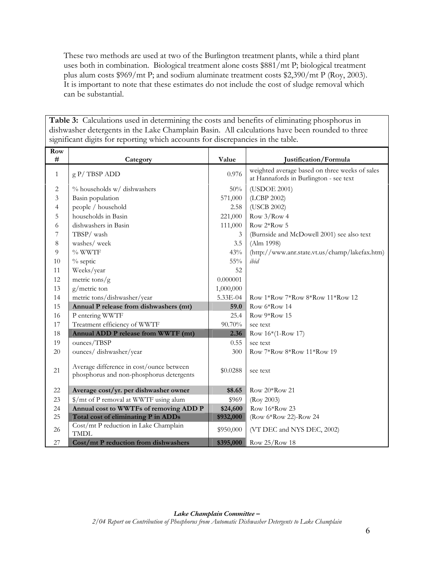These two methods are used at two of the Burlington treatment plants, while a third plant uses both in combination. Biological treatment alone costs \$881/mt P; biological treatment plus alum costs \$969/mt P; and sodium aluminate treatment costs \$2,390/mt P (Roy, 2003). It is important to note that these estimates do not include the cost of sludge removal which can be substantial.

**Table 3:** Calculations used in determining the costs and benefits of eliminating phosphorus in dishwasher detergents in the Lake Champlain Basin. All calculations have been rounded to three significant digits for reporting which accounts for discrepancies in the table.

| Row<br># | Category                                                                             | Value     | Justification/Formula                                                                    |
|----------|--------------------------------------------------------------------------------------|-----------|------------------------------------------------------------------------------------------|
| 1        | $g P/TBSP$ ADD                                                                       | 0.976     | weighted average based on three weeks of sales<br>at Hannafords in Burlington - see text |
| 2        | % households w/ dishwashers                                                          | 50%       | (USDOE 2001)                                                                             |
| 3        | Basin population                                                                     | 571,000   | (LCBP 2002)                                                                              |
| 4        | people / household                                                                   |           | (USCB 2002)                                                                              |
| 5        | households in Basin                                                                  |           | Row $3/Row 4$                                                                            |
| 6        | dishwashers in Basin                                                                 |           | Row $2*Row 5$                                                                            |
| 7        | TBSP/wash                                                                            | 3         | (Burnside and McDowell 2001) see also text                                               |
| 8        | washes/week                                                                          | 3.5       | (Alm 1998)                                                                               |
| 9        | % WWTF                                                                               | 43%       | (http://www.anr.state.vt.us/champ/lakefax.htm)                                           |
| 10       | % septic                                                                             | $55\%$    | ibid                                                                                     |
| 11       | Weeks/year                                                                           | 52        |                                                                                          |
| 12       | metric tons/ $g$                                                                     | 0.000001  |                                                                                          |
| 13       | g/metric ton                                                                         | 1,000,000 |                                                                                          |
| 14       | metric tons/dishwasher/year                                                          | 5.33E-04  | Row 1*Row 7*Row 8*Row 11*Row 12                                                          |
| 15       | Annual P release from dishwashers (mt)                                               | 59.0      | Row 6*Row 14                                                                             |
| 16       | P entering WWTF                                                                      | 25.4      | Row 9*Row 15                                                                             |
| 17       | Treatment efficiency of WWTF                                                         | 90.70%    | see text                                                                                 |
| 18       | Annual ADD P release from WWTF (mt)                                                  | 2.36      | Row $16*(1-Row 17)$                                                                      |
| 19       | ounces/TBSP                                                                          | 0.55      | see text                                                                                 |
| 20       | ounces/dishwasher/year                                                               | 300       | Row 7*Row 8*Row 11*Row 19                                                                |
| 21       | Average difference in cost/ounce between<br>phosphorus and non-phosphorus detergents | \$0.0288  | see text                                                                                 |
| 22       | Average cost/yr. per dishwasher owner                                                | \$8.65    | Row 20*Row 21                                                                            |
| 23       | \$/mt of P removal at WWTF using alum                                                | \$969     | (Roy 2003)                                                                               |
| 24       | Annual cost to WWTFs of removing ADD P                                               |           | Row 16*Row 23                                                                            |
| 25       | Total cost of eliminating P in ADDs                                                  | \$932,000 | (Row 6*Row 22)-Row 24                                                                    |
| 26       | Cost/mt P reduction in Lake Champlain<br><b>TMDL</b>                                 | \$950,000 | (VT DEC and NYS DEC, 2002)                                                               |
| 27       | Cost/mt P reduction from dishwashers                                                 | \$395,000 | Row $25/Row 18$                                                                          |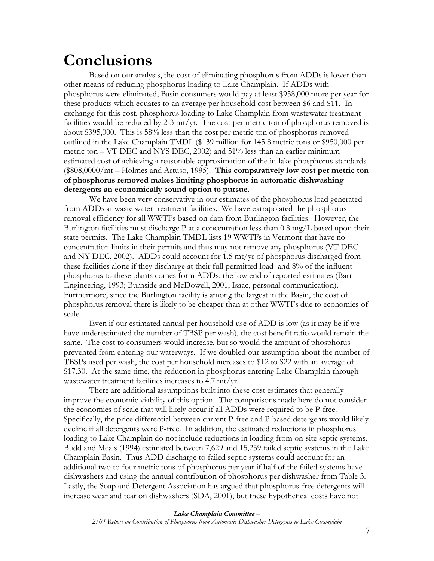### **Conclusions**

Based on our analysis, the cost of eliminating phosphorus from ADDs is lower than other means of reducing phosphorus loading to Lake Champlain. If ADDs with phosphorus were eliminated, Basin consumers would pay at least \$958,000 more per year for these products which equates to an average per household cost between \$6 and \$11. In exchange for this cost, phosphorus loading to Lake Champlain from wastewater treatment facilities would be reduced by 2-3  $\text{mt/yr}$ . The cost per metric ton of phosphorus removed is about \$395,000. This is 58% less than the cost per metric ton of phosphorus removed outlined in the Lake Champlain TMDL (\$139 million for 145.8 metric tons or \$950,000 per metric ton – VT DEC and NYS DEC, 2002) and 51% less than an earlier minimum estimated cost of achieving a reasonable approximation of the in-lake phosphorus standards (\$808,0000/mt – Holmes and Artuso, 1995). **This comparatively low cost per metric ton of phosphorus removed makes limiting phosphorus in automatic dishwashing detergents an economically sound option to pursue.** 

We have been very conservative in our estimates of the phosphorus load generated from ADDs at waste water treatment facilities. We have extrapolated the phosphorus removal efficiency for all WWTFs based on data from Burlington facilities. However, the Burlington facilities must discharge P at a concentration less than 0.8 mg/L based upon their state permits. The Lake Champlain TMDL lists 19 WWTFs in Vermont that have no concentration limits in their permits and thus may not remove any phosphorus (VT DEC and NY DEC, 2002). ADDs could account for 1.5 mt/yr of phosphorus discharged from these facilities alone if they discharge at their full permitted load and 8% of the influent phosphorus to these plants comes form ADDs, the low end of reported estimates (Barr Engineering, 1993; Burnside and McDowell, 2001; Isaac, personal communication). Furthermore, since the Burlington facility is among the largest in the Basin, the cost of phosphorus removal there is likely to be cheaper than at other WWTFs due to economies of scale.

Even if our estimated annual per household use of ADD is low (as it may be if we have underestimated the number of TBSP per wash), the cost benefit ratio would remain the same. The cost to consumers would increase, but so would the amount of phosphorus prevented from entering our waterways. If we doubled our assumption about the number of TBSPs used per wash, the cost per household increases to \$12 to \$22 with an average of \$17.30. At the same time, the reduction in phosphorus entering Lake Champlain through wastewater treatment facilities increases to 4.7 mt/yr.

There are additional assumptions built into these cost estimates that generally improve the economic viability of this option. The comparisons made here do not consider the economies of scale that will likely occur if all ADDs were required to be P-free. Specifically, the price differential between current P-free and P-based detergents would likely decline if all detergents were P-free. In addition, the estimated reductions in phosphorus loading to Lake Champlain do not include reductions in loading from on-site septic systems. Budd and Meals (1994) estimated between 7,629 and 15,259 failed septic systems in the Lake Champlain Basin. Thus ADD discharge to failed septic systems could account for an additional two to four metric tons of phosphorus per year if half of the failed systems have dishwashers and using the annual contribution of phosphorus per dishwasher from Table 3. Lastly, the Soap and Detergent Association has argued that phosphorus-free detergents will increase wear and tear on dishwashers (SDA, 2001), but these hypothetical costs have not

#### *Lake Champlain Committee –*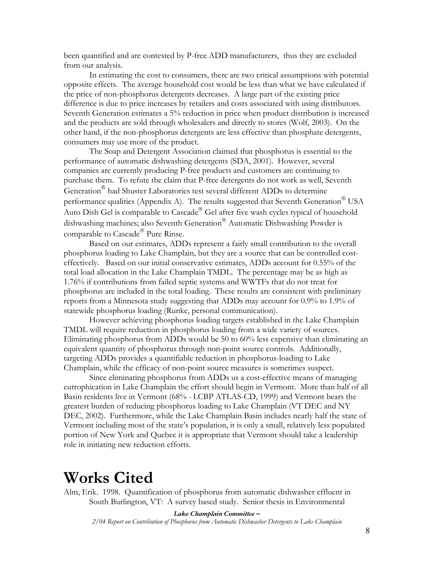been quantified and are contested by P-free ADD manufacturers, thus they are excluded from our analysis.

In estimating the cost to consumers, there are two critical assumptions with potential opposite effects. The average household cost would be less than what we have calculated if the price of non-phosphorus detergents decreases. A large part of the existing price difference is due to price increases by retailers and costs associated with using distributors. Seventh Generation estimates a 5% reduction in price when product distribution is increased and the products are sold through wholesalers and directly to stores (Wolf, 2003). On the other hand, if the non-phosphorus detergents are less effective than phosphate detergents, consumers may use more of the product.

The Soap and Detergent Association claimed that phosphorus is essential to the performance of automatic dishwashing detergents (SDA, 2001). However, several companies are currently producing P-free products and customers are continuing to purchase them. To refute the claim that P-free detergents do not work as well, Seventh Generation<sup>®</sup> had Shuster Laboratories test several different ADDs to determine performance qualities (Appendix A). The results suggested that Seventh Generation<sup>®</sup> USA Auto Dish Gel is comparable to Cascade® Gel after five wash cycles typical of household dishwashing machines; also Seventh Generation<sup>®</sup> Automatic Dishwashing Powder is comparable to Cascade<sup>®</sup> Pure Rinse.

Based on our estimates, ADDs represent a fairly small contribution to the overall phosphorus loading to Lake Champlain, but they are a source that can be controlled costeffectively. Based on our initial conservative estimates, ADDs account for 0.55% of the total load allocation in the Lake Champlain TMDL. The percentage may be as high as 1.76% if contributions from failed septic systems and WWTFs that do not treat for phosphorus are included in the total loading. These results are consistent with preliminary reports from a Minnesota study suggesting that ADDs may account for 0.9% to 1.9% of statewide phosphorus loading (Runke, personal communication).

However achieving phosphorus loading targets established in the Lake Champlain TMDL will require reduction in phosphorus loading from a wide variety of sources. Eliminating phosphorus from ADDs would be 50 to 60% less expensive than eliminating an equivalent quantity of phosphorus through non-point source controls. Additionally, targeting ADDs provides a quantifiable reduction in phosphorus-loading to Lake Champlain, while the efficacy of non-point source measures is sometimes suspect.

Since eliminating phosphorus from ADDs us a cost-effective means of managing eutrophication in Lake Champlain the effort should begin in Vermont. More than half of all Basin residents live in Vermont (68% *-* LCBP ATLAS-CD, 1999) and Vermont bears the greatest burden of reducing phosphorus loading to Lake Champlain (VT DEC and NY DEC, 2002). Furthermore, while the Lake Champlain Basin includes nearly half the state of Vermont including most of the state's population, it is only a small, relatively less populated portion of New York and Quebec it is appropriate that Vermont should take a leadership role in initiating new reduction efforts.

### **Works Cited**

Alm, Erik. 1998. Quantification of phosphorus from automatic dishwasher effluent in South Burlington, VT: A survey based study. Senior thesis in Environmental

*Lake Champlain Committee –*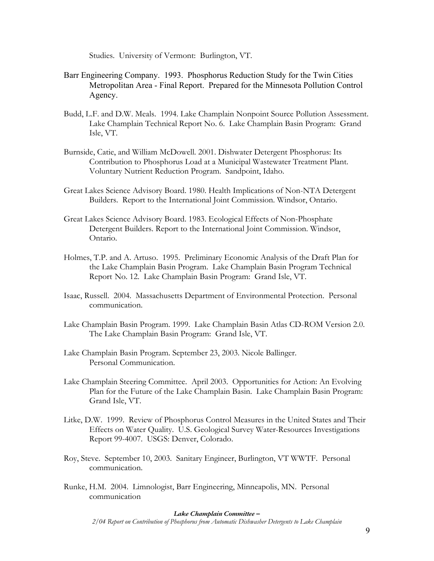Studies. University of Vermont: Burlington, VT.

- Barr Engineering Company. 1993. Phosphorus Reduction Study for the Twin Cities Metropolitan Area - Final Report. Prepared for the Minnesota Pollution Control Agency.
- Budd, L.F. and D.W. Meals. 1994. Lake Champlain Nonpoint Source Pollution Assessment. Lake Champlain Technical Report No. 6. Lake Champlain Basin Program: Grand Isle, VT.
- Burnside, Catie, and William McDowell. 2001. Dishwater Detergent Phosphorus: Its Contribution to Phosphorus Load at a Municipal Wastewater Treatment Plant. Voluntary Nutrient Reduction Program. Sandpoint, Idaho.
- Great Lakes Science Advisory Board. 1980. Health Implications of Non-NTA Detergent Builders. Report to the International Joint Commission. Windsor, Ontario.
- Great Lakes Science Advisory Board. 1983. Ecological Effects of Non-Phosphate Detergent Builders. Report to the International Joint Commission. Windsor, Ontario.
- Holmes, T.P. and A. Artuso. 1995. Preliminary Economic Analysis of the Draft Plan for the Lake Champlain Basin Program. Lake Champlain Basin Program Technical Report No. 12. Lake Champlain Basin Program: Grand Isle, VT.
- Isaac, Russell. 2004. Massachusetts Department of Environmental Protection. Personal communication.
- Lake Champlain Basin Program. 1999. Lake Champlain Basin Atlas CD-ROM Version 2.0. The Lake Champlain Basin Program: Grand Isle, VT.
- Lake Champlain Basin Program. September 23, 2003. Nicole Ballinger. Personal Communication.
- Lake Champlain Steering Committee. April 2003. Opportunities for Action: An Evolving Plan for the Future of the Lake Champlain Basin. Lake Champlain Basin Program: Grand Isle, VT.
- Litke, D.W. 1999. Review of Phosphorus Control Measures in the United States and Their Effects on Water Quality. U.S. Geological Survey Water-Resources Investigations Report 99-4007. USGS: Denver, Colorado.
- Roy, Steve. September 10, 2003. Sanitary Engineer, Burlington, VT WWTF. Personal communication.
- Runke, H.M. 2004. Limnologist, Barr Engineering, Minneapolis, MN. Personal communication

#### *Lake Champlain Committee –*